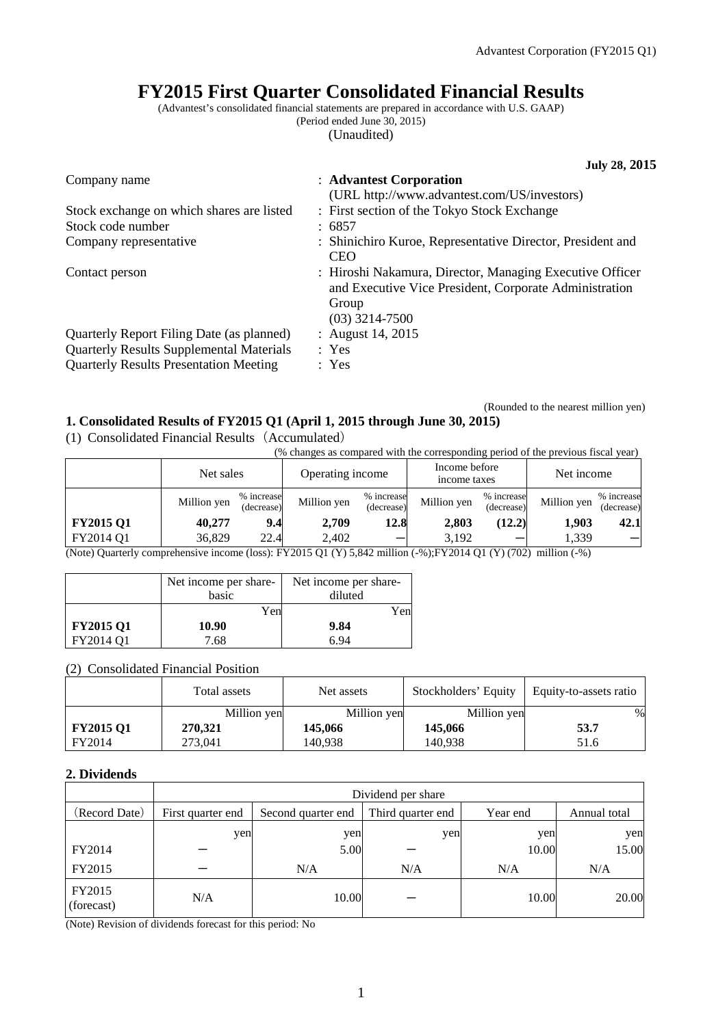# **FY2015 First Quarter Consolidated Financial Results**

(Advantest's consolidated financial statements are prepared in accordance with U.S. GAAP) (Period ended June 30, 2015)

(03) 3214-7500<br>: August 14, 2015

(Unaudited)

**July 28, 2015** Company name : **Advantest Corporation** (URL http://www.advantest.com/US/investors) Stock exchange on which shares are listed : First section of the Tokyo Stock Exchange

| Stock code number      | : 6857                                                     |
|------------------------|------------------------------------------------------------|
| Company representative | : Shinichiro Kuroe, Representative Director, President and |
|                        | CEO                                                        |
| Contact person         | : Hiroshi Nakamura, Director, Managing Executive Officer   |

and Executive Vice President, Corporate Administration Group

Quarterly Report Filing Date (as planned) Quarterly Results Supplemental Materials : Yes Quarterly Results Presentation Meeting : Yes

(Rounded to the nearest million yen)

# **1. Consolidated Results of FY2015 Q1 (April 1, 2015 through June 30, 2015)**

(1) Consolidated Financial Results(Accumulated)

(% changes as compared with the corresponding period of the previous fiscal year)

|                                                                                                                                                         | Net sales   |                          | Operating income |                          | Income before<br>income taxes |                          | Net income  |                          |
|---------------------------------------------------------------------------------------------------------------------------------------------------------|-------------|--------------------------|------------------|--------------------------|-------------------------------|--------------------------|-------------|--------------------------|
|                                                                                                                                                         | Million yen | % increase<br>(decrease) | Million yen      | % increase<br>(decrease) | Million yen                   | % increase<br>(decrease) | Million yen | % increase<br>(decrease) |
| <b>FY2015 Q1</b>                                                                                                                                        | 40.277      | 9.4                      | 2.709            | 12.8                     | 2,803                         | (12.2)                   | 1.903       | 42.1                     |
| FY2014 O1                                                                                                                                               | 36,829      | 22.4                     | 2.402            |                          | 3.192                         |                          | 1.339       |                          |
| (Net) $Q_{\text{t}}(n) = 1$ (Net) $Q_{\text{t}}(n) = 1$ (Net) (1.1) (1.1) (1.1) (1.1) (1.1) (1.1) (1.1) (1.1) (1.1) (1.1) (1.1) (1.1) (1.1) (1.1) (1.1) |             |                          |                  |                          |                               |                          |             |                          |

(Note) Quarterly comprehensive income (loss): FY2015 Q1 (Y) 5,842 million (-%);FY2014 Q1 (Y) (702) million (-%)

|                  | Net income per share-<br>basic | Net income per share-<br>diluted |
|------------------|--------------------------------|----------------------------------|
|                  | Yen                            | Yen                              |
| <b>FY2015 Q1</b> | 10.90                          | 9.84                             |
| FY2014 Q1        | 7.68                           | 6 ዓ4                             |

## (2) Consolidated Financial Position

|                  | Total assets | Net assets  | Stockholders' Equity | Equity-to-assets ratio |
|------------------|--------------|-------------|----------------------|------------------------|
|                  | Million yen  | Million yen | Million yen          | $\%$                   |
| <b>FY2015 Q1</b> | 270,321      | 145,066     | 145,066              | 53.7                   |
| FY2014           | 273.041      | 140.938     | 140.938              | 51.6                   |

## **2. Dividends**

|                      | Dividend per share |                    |                   |          |              |  |
|----------------------|--------------------|--------------------|-------------------|----------|--------------|--|
| (Record Date)        | First quarter end  | Second quarter end | Third quarter end | Year end | Annual total |  |
|                      | yen                | yen                | yen               | yen      | yen          |  |
| FY2014               |                    | 5.00               |                   | 10.00    | 15.00        |  |
| FY2015               |                    | N/A                | N/A               | N/A      | N/A          |  |
| FY2015<br>(forecast) | N/A                | 10.00              |                   | 10.00    | 20.00        |  |

(Note) Revision of dividends forecast for this period: No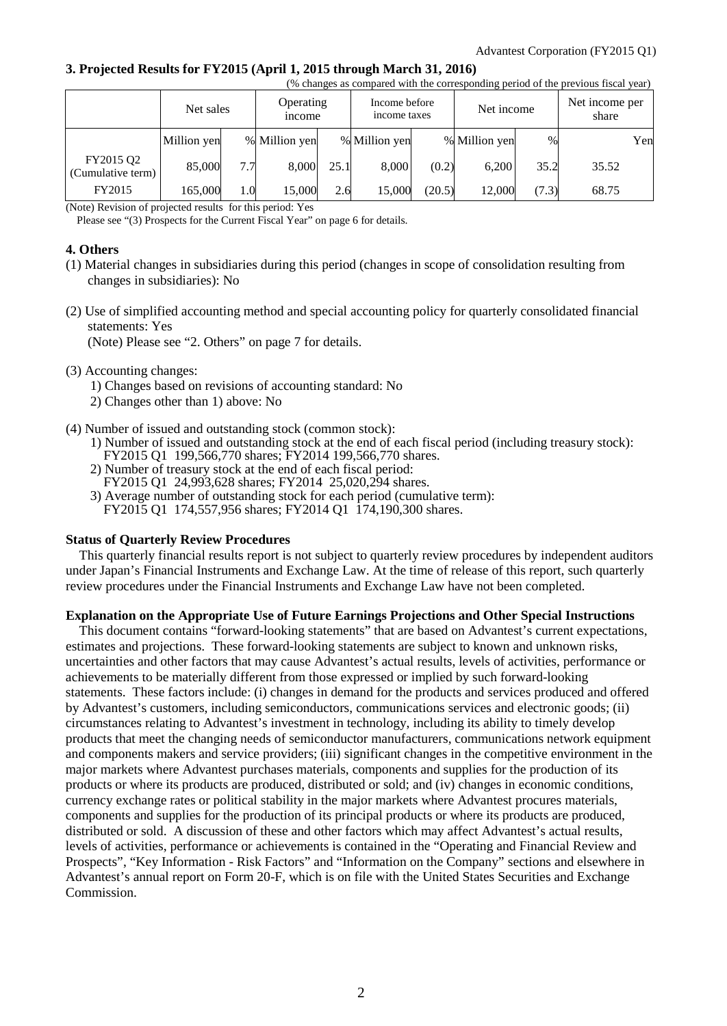#### **3. Projected Results for FY2015 (April 1, 2015 through March 31, 2016)**

| (% changes as compared with the corresponding period of the previous fiscal year) |             |     |                            |      |                               |        |               |       |                         |     |
|-----------------------------------------------------------------------------------|-------------|-----|----------------------------|------|-------------------------------|--------|---------------|-------|-------------------------|-----|
|                                                                                   | Net sales   |     | Operating<br><i>n</i> come |      | Income before<br>income taxes |        | Net income    |       | Net income per<br>share |     |
|                                                                                   | Million yen |     | % Million yen              |      | % Million yen                 |        | % Million yen | $\%$  |                         | Yen |
| FY2015 Q2<br>(Cumulative term)                                                    | 85,000      | 7.7 | 8,000                      | 25.1 | 8,000                         | (0.2)  | 6,200         | 35.2  | 35.52                   |     |
| FY2015                                                                            | 165,000     | 1.0 | 15,000                     | 2.6  | 15,000                        | (20.5) | 12,000        | (7.3) | 68.75                   |     |

(Note) Revision of projected results for this period: Yes

Please see "(3) Prospects for the Current Fiscal Year" on page 6 for details.

#### **4. Others**

- (1) Material changes in subsidiaries during this period (changes in scope of consolidation resulting from changes in subsidiaries): No
- (2) Use of simplified accounting method and special accounting policy for quarterly consolidated financial statements: Yes

(Note) Please see "2. Others" on page 7 for details.

#### (3) Accounting changes:

- 1) Changes based on revisions of accounting standard: No
- 2) Changes other than 1) above: No
- (4) Number of issued and outstanding stock (common stock):
	- 1) Number of issued and outstanding stock at the end of each fiscal period (including treasury stock): FY2015 Q1 199,566,770 shares; FY2014 199,566,770 shares.
	- 2) Number of treasury stock at the end of each fiscal period: FY2015 Q1 24,993,628 shares; FY2014 25,020,294 shares.
	- 3) Average number of outstanding stock for each period (cumulative term):
		- FY2015 Q1 174,557,956 shares; FY2014 Q1 174,190,300 shares.

#### **Status of Quarterly Review Procedures**

This quarterly financial results report is not subject to quarterly review procedures by independent auditors under Japan's Financial Instruments and Exchange Law. At the time of release of this report, such quarterly review procedures under the Financial Instruments and Exchange Law have not been completed.

## **Explanation on the Appropriate Use of Future Earnings Projections and Other Special Instructions**

This document contains "forward-looking statements" that are based on Advantest's current expectations, estimates and projections. These forward-looking statements are subject to known and unknown risks, uncertainties and other factors that may cause Advantest's actual results, levels of activities, performance or achievements to be materially different from those expressed or implied by such forward-looking statements. These factors include: (i) changes in demand for the products and services produced and offered by Advantest's customers, including semiconductors, communications services and electronic goods; (ii) circumstances relating to Advantest's investment in technology, including its ability to timely develop products that meet the changing needs of semiconductor manufacturers, communications network equipment and components makers and service providers; (iii) significant changes in the competitive environment in the major markets where Advantest purchases materials, components and supplies for the production of its products or where its products are produced, distributed or sold; and (iv) changes in economic conditions, currency exchange rates or political stability in the major markets where Advantest procures materials, components and supplies for the production of its principal products or where its products are produced, distributed or sold. A discussion of these and other factors which may affect Advantest's actual results, levels of activities, performance or achievements is contained in the "Operating and Financial Review and Prospects", "Key Information - Risk Factors" and "Information on the Company" sections and elsewhere in Advantest's annual report on Form 20-F, which is on file with the United States Securities and Exchange Commission.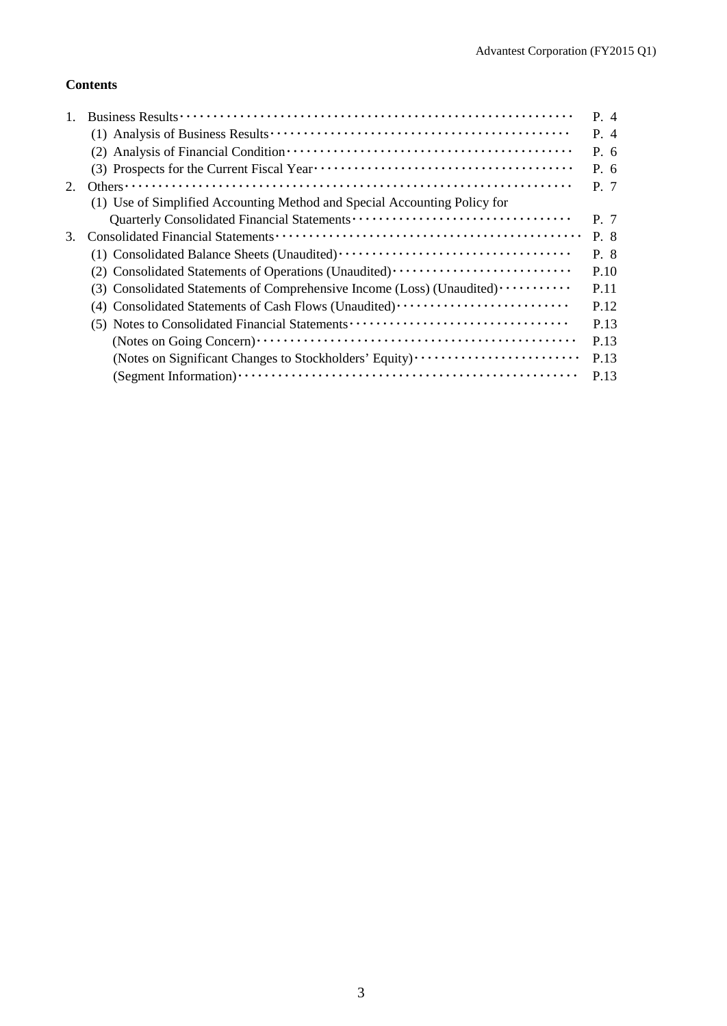# **Contents**

|    |                                                                           | $P_4$     |
|----|---------------------------------------------------------------------------|-----------|
|    |                                                                           | $P_4$     |
|    |                                                                           | P. 6      |
|    |                                                                           | $P_{0}$ 6 |
| 2. |                                                                           | P. 7      |
|    | (1) Use of Simplified Accounting Method and Special Accounting Policy for |           |
|    |                                                                           | P. 7      |
| 3. |                                                                           | P. 8      |
|    |                                                                           | P. 8      |
|    | (2) Consolidated Statements of Operations (Unaudited)                     | P.10      |
|    | (3) Consolidated Statements of Comprehensive Income (Loss) (Unaudited)    | P.11      |
|    | (4) Consolidated Statements of Cash Flows (Unaudited)                     | P.12      |
|    | (5) Notes to Consolidated Financial Statements                            | P.13      |
|    |                                                                           | P.13      |
|    | (Notes on Significant Changes to Stockholders' Equity)                    | P.13      |
|    |                                                                           | P.13      |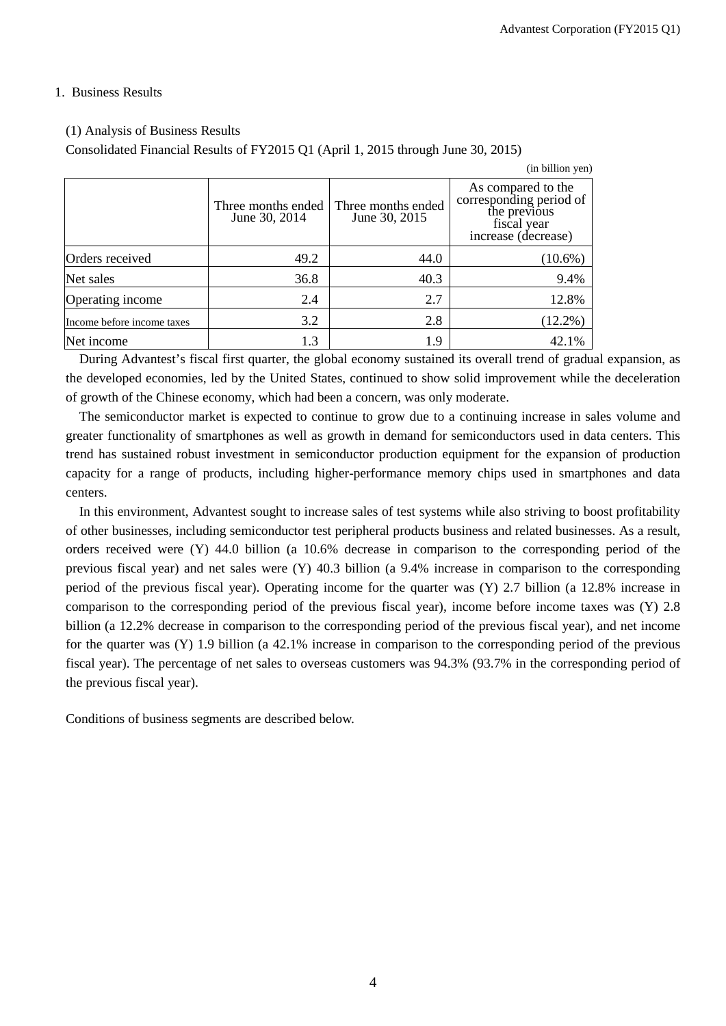(in billion yen)

## 1. Business Results

# (1) Analysis of Business Results

Consolidated Financial Results of FY2015 Q1 (April 1, 2015 through June 30, 2015)

|                            | Three months ended<br>June 30, 2014 | Three months ended<br>June 30, 2015 | As compared to the<br>corresponding period of<br>the previous<br>fiscal year<br>increase (decrease) |
|----------------------------|-------------------------------------|-------------------------------------|-----------------------------------------------------------------------------------------------------|
| Orders received            | 49.2                                | 44.0                                | $(10.6\%)$                                                                                          |
| Net sales                  | 36.8                                | 40.3                                | 9.4%                                                                                                |
| Operating income           | 2.4                                 | 2.7                                 | 12.8%                                                                                               |
| Income before income taxes | 3.2                                 | 2.8                                 | $(12.2\%)$                                                                                          |
| Net income                 | 1.3                                 | 1.9                                 | 42.1%                                                                                               |

During Advantest's fiscal first quarter, the global economy sustained its overall trend of gradual expansion, as the developed economies, led by the United States, continued to show solid improvement while the deceleration of growth of the Chinese economy, which had been a concern, was only moderate.

The semiconductor market is expected to continue to grow due to a continuing increase in sales volume and greater functionality of smartphones as well as growth in demand for semiconductors used in data centers. This trend has sustained robust investment in semiconductor production equipment for the expansion of production capacity for a range of products, including higher-performance memory chips used in smartphones and data centers.

In this environment, Advantest sought to increase sales of test systems while also striving to boost profitability of other businesses, including semiconductor test peripheral products business and related businesses. As a result, orders received were (Y) 44.0 billion (a 10.6% decrease in comparison to the corresponding period of the previous fiscal year) and net sales were (Y) 40.3 billion (a 9.4% increase in comparison to the corresponding period of the previous fiscal year). Operating income for the quarter was (Y) 2.7 billion (a 12.8% increase in comparison to the corresponding period of the previous fiscal year), income before income taxes was (Y) 2.8 billion (a 12.2% decrease in comparison to the corresponding period of the previous fiscal year), and net income for the quarter was (Y) 1.9 billion (a 42.1% increase in comparison to the corresponding period of the previous fiscal year). The percentage of net sales to overseas customers was 94.3% (93.7% in the corresponding period of the previous fiscal year).

Conditions of business segments are described below.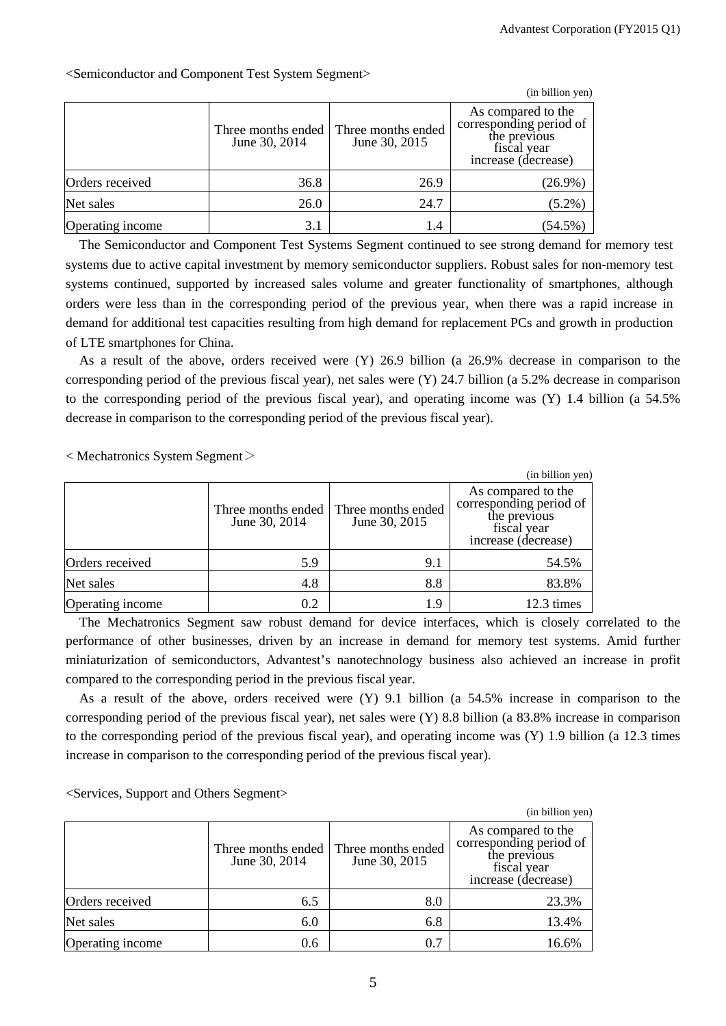|                  |                                     |                                     | (in billion yen)                                                                                    |
|------------------|-------------------------------------|-------------------------------------|-----------------------------------------------------------------------------------------------------|
|                  | Three months ended<br>June 30, 2014 | Three months ended<br>June 30, 2015 | As compared to the<br>corresponding period of<br>the previous<br>fiscal year<br>increase (decrease) |
| Orders received  | 36.8                                | 26.9                                | $(26.9\%)$                                                                                          |
| Net sales        | 26.0                                | 24.7                                | $(5.2\%)$                                                                                           |
| Operating income | 3.1                                 | 1.4                                 | $(54.5\%$                                                                                           |

<Semiconductor and Component Test System Segment>

The Semiconductor and Component Test Systems Segment continued to see strong demand for memory test systems due to active capital investment by memory semiconductor suppliers. Robust sales for non-memory test systems continued, supported by increased sales volume and greater functionality of smartphones, although orders were less than in the corresponding period of the previous year, when there was a rapid increase in demand for additional test capacities resulting from high demand for replacement PCs and growth in production of LTE smartphones for China.

As a result of the above, orders received were (Y) 26.9 billion (a 26.9% decrease in comparison to the corresponding period of the previous fiscal year), net sales were (Y) 24.7 billion (a 5.2% decrease in comparison to the corresponding period of the previous fiscal year), and operating income was (Y) 1.4 billion (a 54.5% decrease in comparison to the corresponding period of the previous fiscal year).

 $<$  Mechatronics System Segment $>$ 

|                  |                                     |                                     | (in billion yen)                                                                                    |
|------------------|-------------------------------------|-------------------------------------|-----------------------------------------------------------------------------------------------------|
|                  | Three months ended<br>June 30, 2014 | Three months ended<br>June 30, 2015 | As compared to the<br>corresponding period of<br>the previous<br>fiscal year<br>increase (decrease) |
| Orders received  | 5.9                                 | 9.1                                 | 54.5%                                                                                               |
| Net sales        | 4.8                                 | 8.8                                 | 83.8%                                                                                               |
| Operating income | 0.2                                 | 1.9                                 | 12.3 times                                                                                          |

The Mechatronics Segment saw robust demand for device interfaces, which is closely correlated to the performance of other businesses, driven by an increase in demand for memory test systems. Amid further miniaturization of semiconductors, Advantest's nanotechnology business also achieved an increase in profit compared to the corresponding period in the previous fiscal year.

As a result of the above, orders received were (Y) 9.1 billion (a 54.5% increase in comparison to the corresponding period of the previous fiscal year), net sales were (Y) 8.8 billion (a 83.8% increase in comparison to the corresponding period of the previous fiscal year), and operating income was (Y) 1.9 billion (a 12.3 times increase in comparison to the corresponding period of the previous fiscal year).

<Services, Support and Others Segment>

|                  |                                     |                                     | (in billion yen)                                                                                    |
|------------------|-------------------------------------|-------------------------------------|-----------------------------------------------------------------------------------------------------|
|                  | Three months ended<br>June 30, 2014 | Three months ended<br>June 30, 2015 | As compared to the<br>corresponding period of<br>the previous<br>fiscal year<br>increase (decrease) |
| Orders received  | 6.5                                 | 8.0                                 | 23.3%                                                                                               |
| Net sales        | 6.0                                 | 6.8                                 | 13.4%                                                                                               |
| Operating income | 0.6                                 | 0.7                                 | 16.6%                                                                                               |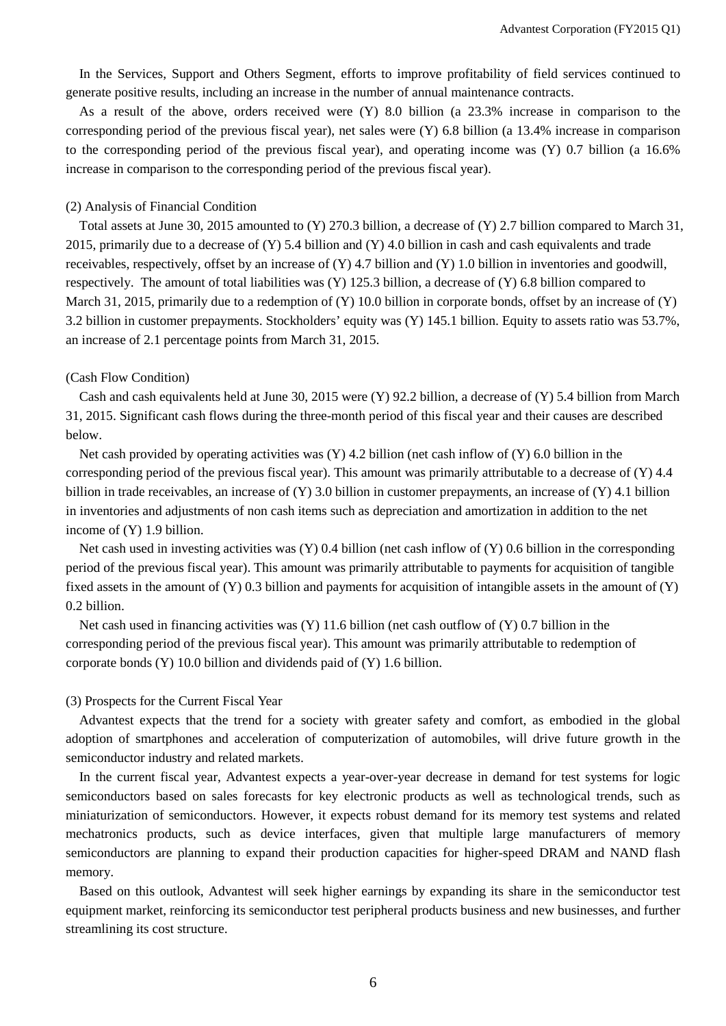In the Services, Support and Others Segment, efforts to improve profitability of field services continued to generate positive results, including an increase in the number of annual maintenance contracts.

As a result of the above, orders received were (Y) 8.0 billion (a 23.3% increase in comparison to the corresponding period of the previous fiscal year), net sales were (Y) 6.8 billion (a 13.4% increase in comparison to the corresponding period of the previous fiscal year), and operating income was (Y) 0.7 billion (a 16.6% increase in comparison to the corresponding period of the previous fiscal year).

#### (2) Analysis of Financial Condition

Total assets at June 30, 2015 amounted to (Y) 270.3 billion, a decrease of (Y) 2.7 billion compared to March 31, 2015, primarily due to a decrease of (Y) 5.4 billion and (Y) 4.0 billion in cash and cash equivalents and trade receivables, respectively, offset by an increase of  $(Y)$  4.7 billion and  $(Y)$  1.0 billion in inventories and goodwill, respectively. The amount of total liabilities was (Y) 125.3 billion, a decrease of (Y) 6.8 billion compared to March 31, 2015, primarily due to a redemption of (Y) 10.0 billion in corporate bonds, offset by an increase of (Y) 3.2 billion in customer prepayments. Stockholders' equity was (Y) 145.1 billion. Equity to assets ratio was 53.7%, an increase of 2.1 percentage points from March 31, 2015.

#### (Cash Flow Condition)

Cash and cash equivalents held at June 30, 2015 were (Y) 92.2 billion, a decrease of (Y) 5.4 billion from March 31, 2015. Significant cash flows during the three-month period of this fiscal year and their causes are described below.

Net cash provided by operating activities was  $(Y)$  4.2 billion (net cash inflow of  $(Y)$  6.0 billion in the corresponding period of the previous fiscal year). This amount was primarily attributable to a decrease of (Y) 4.4 billion in trade receivables, an increase of (Y) 3.0 billion in customer prepayments, an increase of (Y) 4.1 billion in inventories and adjustments of non cash items such as depreciation and amortization in addition to the net income of (Y) 1.9 billion.

Net cash used in investing activities was  $(Y)$  0.4 billion (net cash inflow of  $(Y)$  0.6 billion in the corresponding period of the previous fiscal year). This amount was primarily attributable to payments for acquisition of tangible fixed assets in the amount of (Y) 0.3 billion and payments for acquisition of intangible assets in the amount of (Y) 0.2 billion.

Net cash used in financing activities was  $(Y)$  11.6 billion (net cash outflow of  $(Y)$  0.7 billion in the corresponding period of the previous fiscal year). This amount was primarily attributable to redemption of corporate bonds (Y) 10.0 billion and dividends paid of (Y) 1.6 billion.

#### (3) Prospects for the Current Fiscal Year

Advantest expects that the trend for a society with greater safety and comfort, as embodied in the global adoption of smartphones and acceleration of computerization of automobiles, will drive future growth in the semiconductor industry and related markets.

In the current fiscal year, Advantest expects a year-over-year decrease in demand for test systems for logic semiconductors based on sales forecasts for key electronic products as well as technological trends, such as miniaturization of semiconductors. However, it expects robust demand for its memory test systems and related mechatronics products, such as device interfaces, given that multiple large manufacturers of memory semiconductors are planning to expand their production capacities for higher-speed DRAM and NAND flash memory.

Based on this outlook, Advantest will seek higher earnings by expanding its share in the semiconductor test equipment market, reinforcing its semiconductor test peripheral products business and new businesses, and further streamlining its cost structure.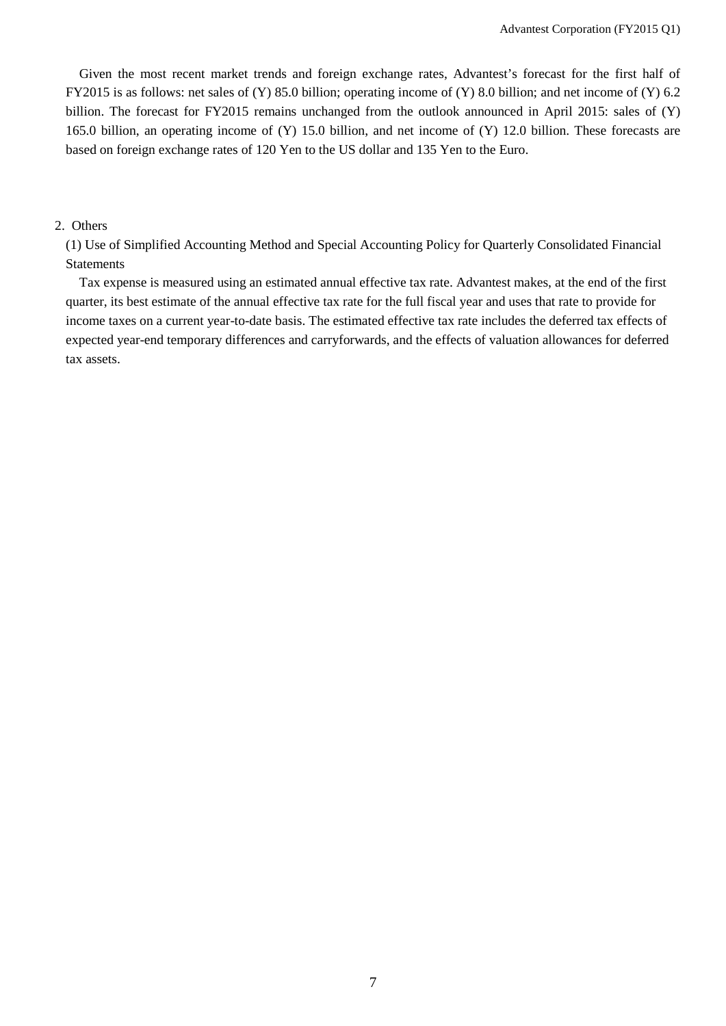Given the most recent market trends and foreign exchange rates, Advantest's forecast for the first half of FY2015 is as follows: net sales of (Y) 85.0 billion; operating income of (Y) 8.0 billion; and net income of (Y) 6.2 billion. The forecast for FY2015 remains unchanged from the outlook announced in April 2015: sales of (Y) 165.0 billion, an operating income of (Y) 15.0 billion, and net income of (Y) 12.0 billion. These forecasts are based on foreign exchange rates of 120 Yen to the US dollar and 135 Yen to the Euro.

#### 2. Others

(1) Use of Simplified Accounting Method and Special Accounting Policy for Quarterly Consolidated Financial Statements

Tax expense is measured using an estimated annual effective tax rate. Advantest makes, at the end of the first quarter, its best estimate of the annual effective tax rate for the full fiscal year and uses that rate to provide for income taxes on a current year-to-date basis. The estimated effective tax rate includes the deferred tax effects of expected year-end temporary differences and carryforwards, and the effects of valuation allowances for deferred tax assets.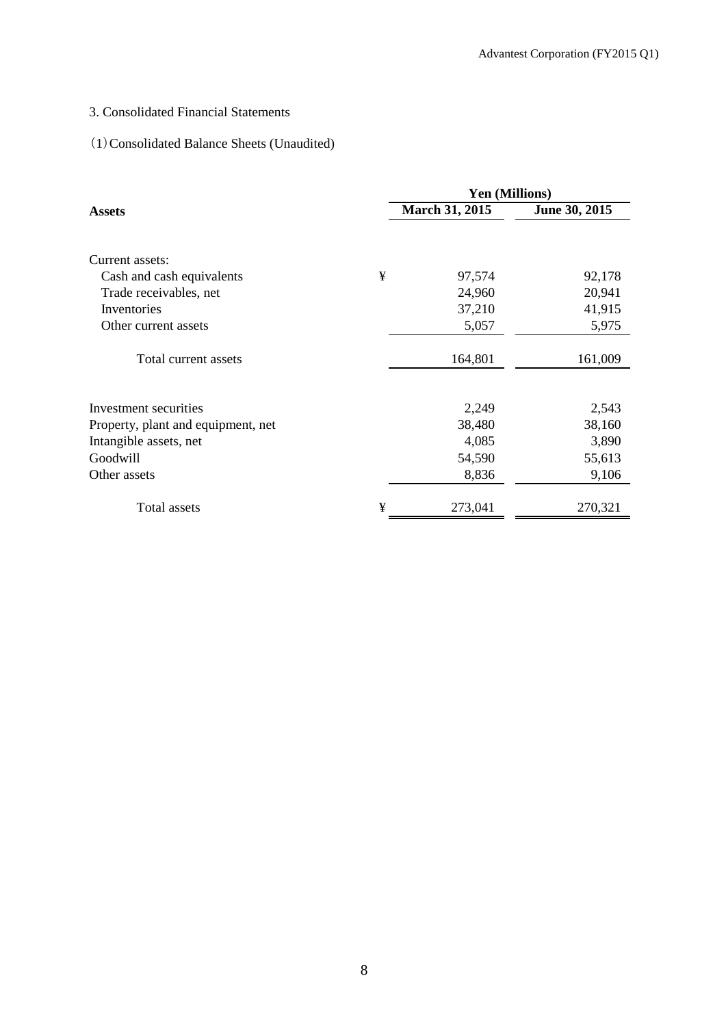# 3. Consolidated Financial Statements

# (1)Consolidated Balance Sheets (Unaudited)

|                                    |   | <b>Yen (Millions)</b> |               |
|------------------------------------|---|-----------------------|---------------|
| <b>Assets</b>                      |   | <b>March 31, 2015</b> | June 30, 2015 |
| Current assets:                    |   |                       |               |
| Cash and cash equivalents          | ¥ | 97,574                | 92,178        |
| Trade receivables, net             |   | 24,960                | 20,941        |
| Inventories                        |   | 37,210                | 41,915        |
| Other current assets               |   | 5,057                 | 5,975         |
| Total current assets               |   | 164,801               | 161,009       |
| Investment securities              |   | 2,249                 | 2,543         |
| Property, plant and equipment, net |   | 38,480                | 38,160        |
| Intangible assets, net             |   | 4,085                 | 3,890         |
| Goodwill                           |   | 54,590                | 55,613        |
| Other assets                       |   | 8,836                 | 9,106         |
| Total assets                       | ¥ | 273,041               | 270,321       |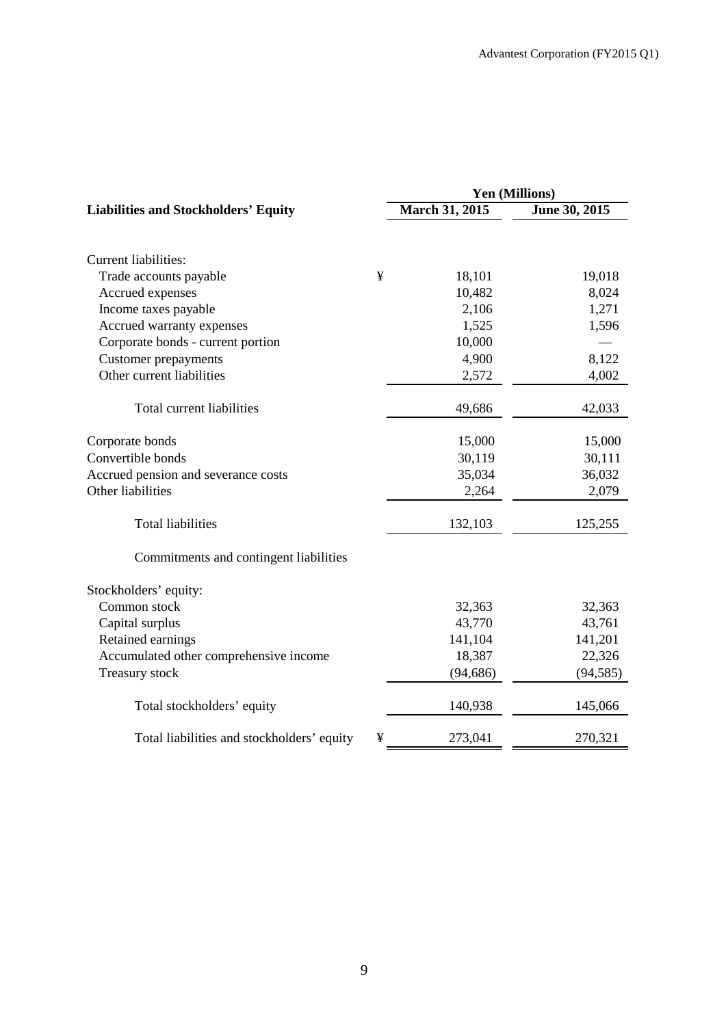|                                             | Yen (Millions) |                |               |  |  |
|---------------------------------------------|----------------|----------------|---------------|--|--|
| <b>Liabilities and Stockholders' Equity</b> |                | March 31, 2015 | June 30, 2015 |  |  |
|                                             |                |                |               |  |  |
| Current liabilities:                        |                |                |               |  |  |
| Trade accounts payable                      | ¥              | 18,101         | 19,018        |  |  |
| Accrued expenses                            |                | 10,482         | 8,024         |  |  |
| Income taxes payable                        |                | 2,106          | 1,271         |  |  |
| Accrued warranty expenses                   |                | 1,525          | 1,596         |  |  |
| Corporate bonds - current portion           |                | 10,000         |               |  |  |
| <b>Customer prepayments</b>                 |                | 4,900          | 8,122         |  |  |
| Other current liabilities                   |                | 2,572          | 4,002         |  |  |
| Total current liabilities                   |                | 49,686         | 42,033        |  |  |
| Corporate bonds                             |                | 15,000         | 15,000        |  |  |
| Convertible bonds                           |                | 30,119         | 30,111        |  |  |
| Accrued pension and severance costs         |                | 35,034         | 36,032        |  |  |
| Other liabilities                           |                | 2,264          | 2,079         |  |  |
|                                             |                |                |               |  |  |
| <b>Total liabilities</b>                    |                | 132,103        | 125,255       |  |  |
| Commitments and contingent liabilities      |                |                |               |  |  |
| Stockholders' equity:                       |                |                |               |  |  |
| Common stock                                |                | 32,363         | 32,363        |  |  |
| Capital surplus                             |                | 43,770         | 43,761        |  |  |
| Retained earnings                           |                | 141,104        | 141,201       |  |  |
| Accumulated other comprehensive income      |                | 18,387         | 22,326        |  |  |
| Treasury stock                              |                | (94, 686)      | (94, 585)     |  |  |
| Total stockholders' equity                  |                | 140,938        | 145,066       |  |  |
| Total liabilities and stockholders' equity  | ¥              | 273,041        | 270,321       |  |  |
|                                             |                |                |               |  |  |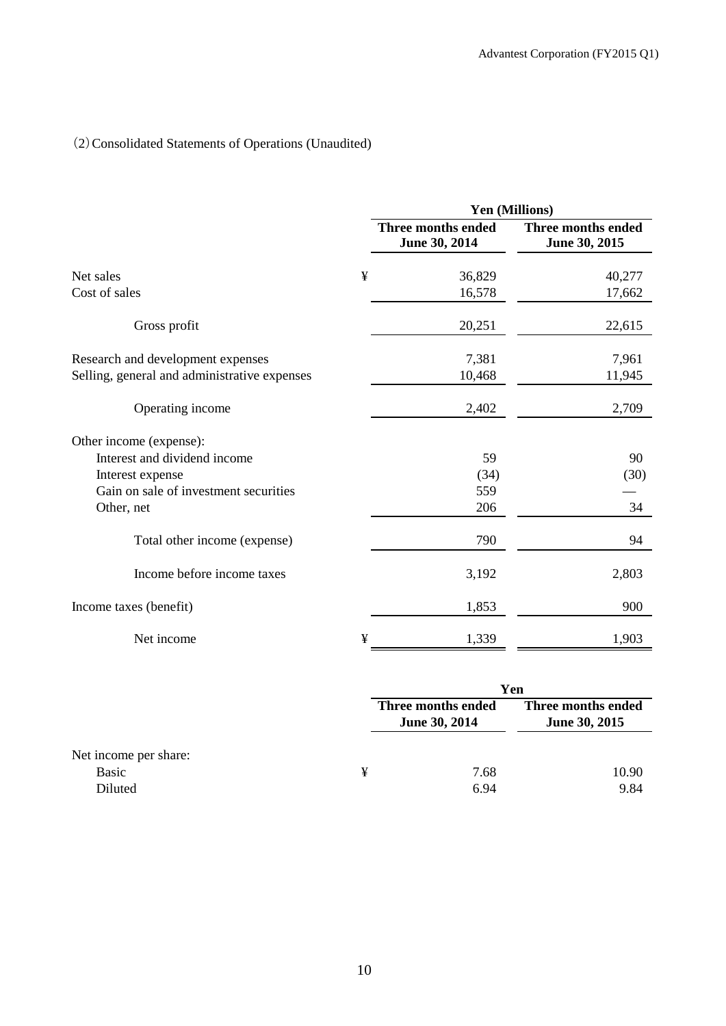# (2)Consolidated Statements of Operations (Unaudited)

|                                              |   | Yen (Millions)                      |                                     |  |
|----------------------------------------------|---|-------------------------------------|-------------------------------------|--|
|                                              |   | Three months ended<br>June 30, 2014 | Three months ended<br>June 30, 2015 |  |
| Net sales                                    | ¥ | 36,829                              | 40,277                              |  |
| Cost of sales                                |   | 16,578                              | 17,662                              |  |
| Gross profit                                 |   | 20,251                              | 22,615                              |  |
| Research and development expenses            |   | 7,381                               | 7,961                               |  |
| Selling, general and administrative expenses |   | 10,468                              | 11,945                              |  |
| Operating income                             |   | 2,402                               | 2,709                               |  |
| Other income (expense):                      |   |                                     |                                     |  |
| Interest and dividend income                 |   | 59                                  | 90                                  |  |
| Interest expense                             |   | (34)                                | (30)                                |  |
| Gain on sale of investment securities        |   | 559                                 |                                     |  |
| Other, net                                   |   | 206                                 | 34                                  |  |
| Total other income (expense)                 |   | 790                                 | 94                                  |  |
| Income before income taxes                   |   | 3,192                               | 2,803                               |  |
| Income taxes (benefit)                       |   | 1,853                               | 900                                 |  |
| Net income                                   | ¥ | 1,339                               | 1,903                               |  |

|                       |   | Yen                                 |                                     |  |
|-----------------------|---|-------------------------------------|-------------------------------------|--|
|                       |   | Three months ended<br>June 30, 2014 | Three months ended<br>June 30, 2015 |  |
| Net income per share: |   |                                     |                                     |  |
| Basic                 | ¥ | 7.68                                | 10.90                               |  |
| Diluted               |   | 6.94                                | 9.84                                |  |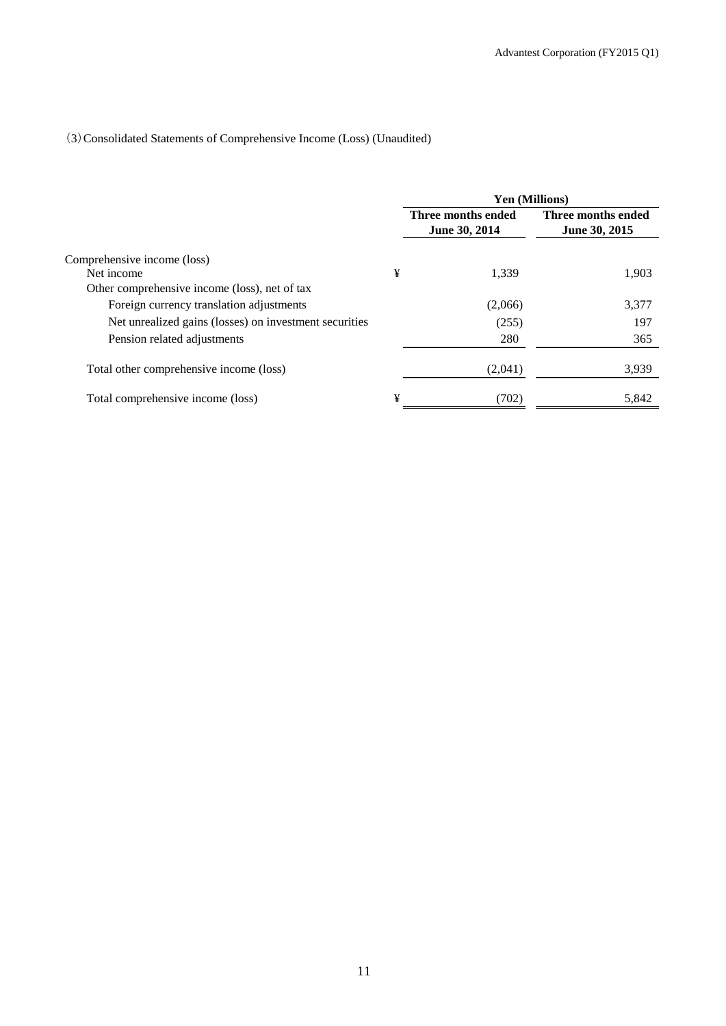# (3)Consolidated Statements of Comprehensive Income (Loss) (Unaudited)

|                                                        |   | Yen (Millions)                             |                                            |  |
|--------------------------------------------------------|---|--------------------------------------------|--------------------------------------------|--|
|                                                        |   | Three months ended<br><b>June 30, 2014</b> | Three months ended<br><b>June 30, 2015</b> |  |
| Comprehensive income (loss)                            |   |                                            |                                            |  |
| Net income                                             | ¥ | 1.339                                      | 1,903                                      |  |
| Other comprehensive income (loss), net of tax          |   |                                            |                                            |  |
| Foreign currency translation adjustments               |   | (2,066)                                    | 3,377                                      |  |
| Net unrealized gains (losses) on investment securities |   | (255)                                      | 197                                        |  |
| Pension related adjustments                            |   | 280                                        | 365                                        |  |
| Total other comprehensive income (loss)                |   | (2,041)                                    | 3,939                                      |  |
| Total comprehensive income (loss)                      | ¥ | (702)                                      | 5,842                                      |  |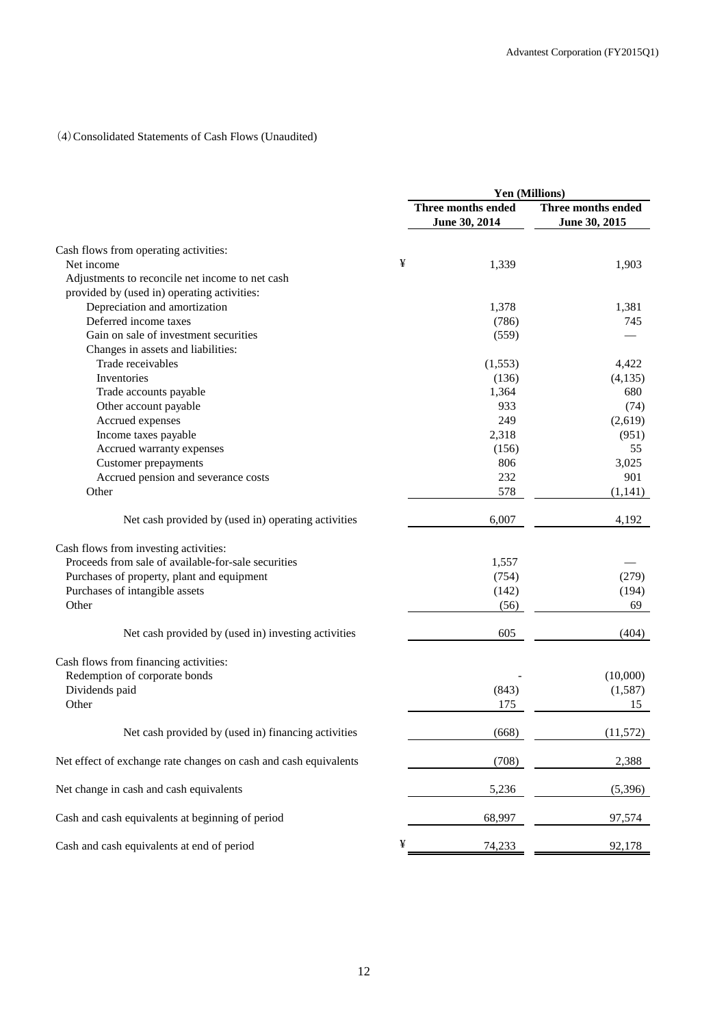# (4)Consolidated Statements of Cash Flows (Unaudited)

|                                                                  | Yen (Millions)                      |                                     |  |
|------------------------------------------------------------------|-------------------------------------|-------------------------------------|--|
|                                                                  | Three months ended<br>June 30, 2014 | Three months ended<br>June 30, 2015 |  |
| Cash flows from operating activities:                            |                                     |                                     |  |
| Net income                                                       | ¥<br>1,339                          | 1,903                               |  |
| Adjustments to reconcile net income to net cash                  |                                     |                                     |  |
| provided by (used in) operating activities:                      |                                     |                                     |  |
| Depreciation and amortization                                    | 1,378                               | 1,381                               |  |
| Deferred income taxes                                            | (786)                               | 745                                 |  |
| Gain on sale of investment securities                            | (559)                               |                                     |  |
| Changes in assets and liabilities:                               |                                     |                                     |  |
| Trade receivables                                                | (1,553)                             | 4,422                               |  |
| Inventories                                                      | (136)                               | (4,135)                             |  |
| Trade accounts payable                                           | 1,364                               | 680                                 |  |
| Other account payable                                            | 933                                 | (74)                                |  |
| Accrued expenses                                                 | 249                                 | (2,619)                             |  |
| Income taxes payable                                             | 2,318                               | (951)                               |  |
| Accrued warranty expenses                                        | (156)                               | 55                                  |  |
| Customer prepayments                                             | 806                                 | 3,025                               |  |
| Accrued pension and severance costs                              | 232                                 | 901                                 |  |
| Other                                                            | 578                                 | (1,141)                             |  |
|                                                                  |                                     |                                     |  |
| Net cash provided by (used in) operating activities              | 6,007                               | 4,192                               |  |
| Cash flows from investing activities:                            |                                     |                                     |  |
| Proceeds from sale of available-for-sale securities              | 1,557                               |                                     |  |
| Purchases of property, plant and equipment                       | (754)                               | (279)                               |  |
| Purchases of intangible assets                                   | (142)                               | (194)                               |  |
| Other                                                            | (56)                                | 69                                  |  |
|                                                                  |                                     |                                     |  |
| Net cash provided by (used in) investing activities              | 605                                 | (404)                               |  |
| Cash flows from financing activities:                            |                                     |                                     |  |
| Redemption of corporate bonds                                    |                                     | (10,000)                            |  |
| Dividends paid                                                   | (843)                               | (1,587)                             |  |
| Other                                                            | 175                                 | 15                                  |  |
| Net cash provided by (used in) financing activities              | (668)                               | (11, 572)                           |  |
| Net effect of exchange rate changes on cash and cash equivalents | (708)                               | 2,388                               |  |
| Net change in cash and cash equivalents                          | 5,236                               | (5,396)                             |  |
| Cash and cash equivalents at beginning of period                 | 68,997                              | 97,574                              |  |
| Cash and cash equivalents at end of period                       | ¥<br>74,233                         | 92,178                              |  |